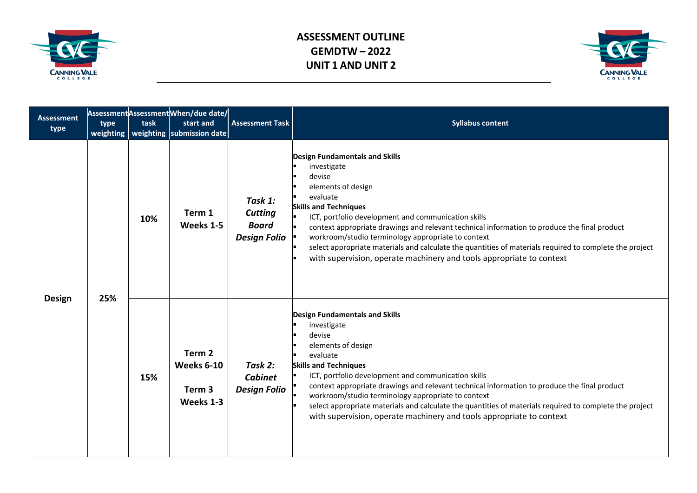



| <b>Assessment</b><br>type | type<br>weighting | task | Assessment Assessment When/due date/<br>start and<br>weighting submission date | <b>Assessment Task</b>                                           | <b>Syllabus content</b>                                                                                                                                                                                                                                                                                                                                                                                                                                                                                                          |
|---------------------------|-------------------|------|--------------------------------------------------------------------------------|------------------------------------------------------------------|----------------------------------------------------------------------------------------------------------------------------------------------------------------------------------------------------------------------------------------------------------------------------------------------------------------------------------------------------------------------------------------------------------------------------------------------------------------------------------------------------------------------------------|
| <b>Design</b>             | 25%               | 10%  | Term 1<br>Weeks 1-5                                                            | Task 1:<br><b>Cutting</b><br><b>Board</b><br><b>Design Folio</b> | <b>Design Fundamentals and Skills</b><br>investigate<br>devise<br>elements of design<br>evaluate<br><b>Skills and Techniques</b><br>ICT, portfolio development and communication skills<br>context appropriate drawings and relevant technical information to produce the final product<br>workroom/studio terminology appropriate to context<br>select appropriate materials and calculate the quantities of materials required to complete the project<br>with supervision, operate machinery and tools appropriate to context |
|                           |                   | 15%  | Term 2<br><b>Weeks 6-10</b><br>Term 3<br>Weeks 1-3                             | Task 2:<br><b>Cabinet</b><br><b>Design Folio</b>                 | <b>Design Fundamentals and Skills</b><br>investigate<br>devise<br>elements of design<br>evaluate<br><b>Skills and Techniques</b><br>ICT, portfolio development and communication skills<br>context appropriate drawings and relevant technical information to produce the final product<br>workroom/studio terminology appropriate to context<br>select appropriate materials and calculate the quantities of materials required to complete the project<br>with supervision, operate machinery and tools appropriate to context |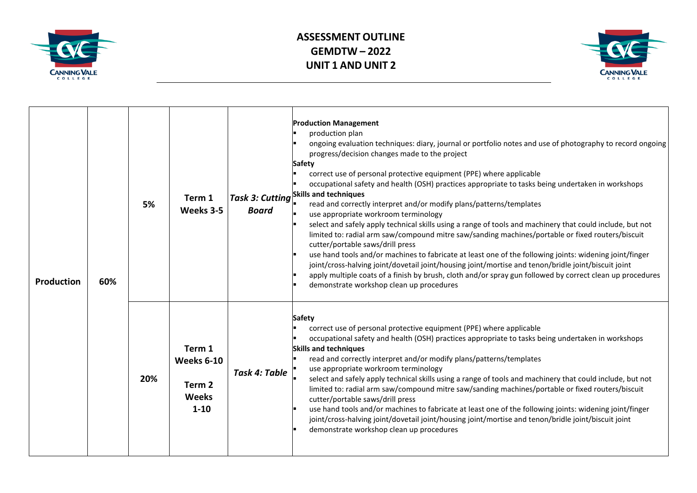



| <b>Production</b> | 60% | 5%  | Term 1<br>Weeks 3-5                                                   | <b>Board</b>  | <b>Production Management</b><br>production plan<br>ongoing evaluation techniques: diary, journal or portfolio notes and use of photography to record ongoing<br>progress/decision changes made to the project<br>Safety<br>correct use of personal protective equipment (PPE) where applicable<br>occupational safety and health (OSH) practices appropriate to tasks being undertaken in workshops<br>  <i>Task 3: Cutting</i> $^{\mid$ Skills and techniques<br>read and correctly interpret and/or modify plans/patterns/templates<br>use appropriate workroom terminology<br>select and safely apply technical skills using a range of tools and machinery that could include, but not<br>limited to: radial arm saw/compound mitre saw/sanding machines/portable or fixed routers/biscuit<br>cutter/portable saws/drill press<br>use hand tools and/or machines to fabricate at least one of the following joints: widening joint/finger<br>joint/cross-halving joint/dovetail joint/housing joint/mortise and tenon/bridle joint/biscuit joint<br>apply multiple coats of a finish by brush, cloth and/or spray gun followed by correct clean up procedures<br>demonstrate workshop clean up procedures |
|-------------------|-----|-----|-----------------------------------------------------------------------|---------------|---------------------------------------------------------------------------------------------------------------------------------------------------------------------------------------------------------------------------------------------------------------------------------------------------------------------------------------------------------------------------------------------------------------------------------------------------------------------------------------------------------------------------------------------------------------------------------------------------------------------------------------------------------------------------------------------------------------------------------------------------------------------------------------------------------------------------------------------------------------------------------------------------------------------------------------------------------------------------------------------------------------------------------------------------------------------------------------------------------------------------------------------------------------------------------------------------------------|
|                   |     | 20% | Term 1<br>Weeks 6-10<br>Term <sub>2</sub><br><b>Weeks</b><br>$1 - 10$ | Task 4: Table | <b>Safety</b><br>correct use of personal protective equipment (PPE) where applicable<br>occupational safety and health (OSH) practices appropriate to tasks being undertaken in workshops<br><b>Skills and techniques</b><br>read and correctly interpret and/or modify plans/patterns/templates<br>use appropriate workroom terminology<br>select and safely apply technical skills using a range of tools and machinery that could include, but not<br>limited to: radial arm saw/compound mitre saw/sanding machines/portable or fixed routers/biscuit<br>cutter/portable saws/drill press<br>use hand tools and/or machines to fabricate at least one of the following joints: widening joint/finger<br>joint/cross-halving joint/dovetail joint/housing joint/mortise and tenon/bridle joint/biscuit joint<br>demonstrate workshop clean up procedures                                                                                                                                                                                                                                                                                                                                                   |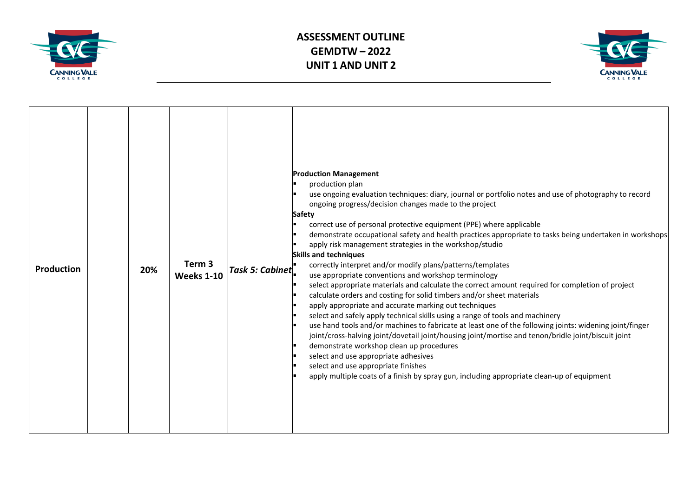



| <b>Production</b> | 20% | Term 3<br><b>Weeks 1-10</b> | Task 5: Cabinet | <b>Production Management</b><br>production plan<br>use ongoing evaluation techniques: diary, journal or portfolio notes and use of photography to record<br>ongoing progress/decision changes made to the project<br><b>Safety</b><br>correct use of personal protective equipment (PPE) where applicable<br>demonstrate occupational safety and health practices appropriate to tasks being undertaken in workshops<br>apply risk management strategies in the workshop/studio<br><b>Skills and techniques</b><br>correctly interpret and/or modify plans/patterns/templates<br>use appropriate conventions and workshop terminology<br>select appropriate materials and calculate the correct amount required for completion of project<br>calculate orders and costing for solid timbers and/or sheet materials<br>apply appropriate and accurate marking out techniques<br>select and safely apply technical skills using a range of tools and machinery<br>use hand tools and/or machines to fabricate at least one of the following joints: widening joint/finger<br>joint/cross-halving joint/dovetail joint/housing joint/mortise and tenon/bridle joint/biscuit joint<br>demonstrate workshop clean up procedures<br>select and use appropriate adhesives<br>select and use appropriate finishes<br>apply multiple coats of a finish by spray gun, including appropriate clean-up of equipment |
|-------------------|-----|-----------------------------|-----------------|---------------------------------------------------------------------------------------------------------------------------------------------------------------------------------------------------------------------------------------------------------------------------------------------------------------------------------------------------------------------------------------------------------------------------------------------------------------------------------------------------------------------------------------------------------------------------------------------------------------------------------------------------------------------------------------------------------------------------------------------------------------------------------------------------------------------------------------------------------------------------------------------------------------------------------------------------------------------------------------------------------------------------------------------------------------------------------------------------------------------------------------------------------------------------------------------------------------------------------------------------------------------------------------------------------------------------------------------------------------------------------------------------------|
|-------------------|-----|-----------------------------|-----------------|---------------------------------------------------------------------------------------------------------------------------------------------------------------------------------------------------------------------------------------------------------------------------------------------------------------------------------------------------------------------------------------------------------------------------------------------------------------------------------------------------------------------------------------------------------------------------------------------------------------------------------------------------------------------------------------------------------------------------------------------------------------------------------------------------------------------------------------------------------------------------------------------------------------------------------------------------------------------------------------------------------------------------------------------------------------------------------------------------------------------------------------------------------------------------------------------------------------------------------------------------------------------------------------------------------------------------------------------------------------------------------------------------------|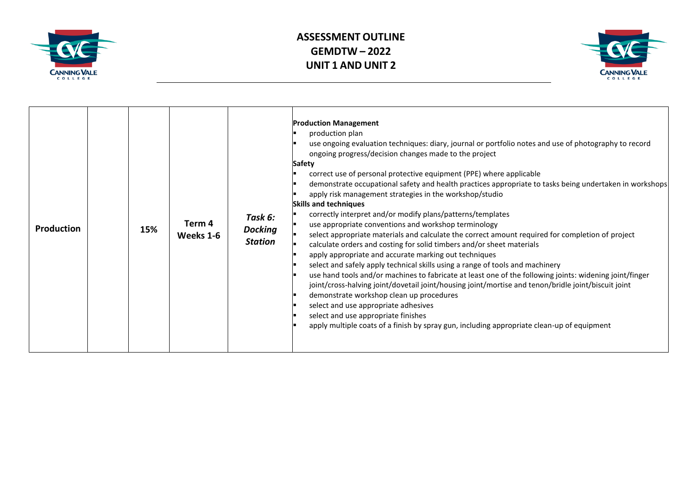



| <b>Production</b> |  | 15% | Term 4<br>Weeks 1-6 | Task 6:<br><b>Docking</b><br><b>Station</b> | <b>Production Management</b><br>production plan<br>use ongoing evaluation techniques: diary, journal or portfolio notes and use of photography to record<br>ongoing progress/decision changes made to the project<br><b>Safety</b><br>correct use of personal protective equipment (PPE) where applicable<br>demonstrate occupational safety and health practices appropriate to tasks being undertaken in workshops<br>apply risk management strategies in the workshop/studio<br><b>Skills and techniques</b><br>correctly interpret and/or modify plans/patterns/templates<br>use appropriate conventions and workshop terminology<br>select appropriate materials and calculate the correct amount required for completion of project<br>calculate orders and costing for solid timbers and/or sheet materials<br>apply appropriate and accurate marking out techniques<br>select and safely apply technical skills using a range of tools and machinery<br>use hand tools and/or machines to fabricate at least one of the following joints: widening joint/finger<br>joint/cross-halving joint/dovetail joint/housing joint/mortise and tenon/bridle joint/biscuit joint<br>demonstrate workshop clean up procedures<br>select and use appropriate adhesives<br>select and use appropriate finishes<br>apply multiple coats of a finish by spray gun, including appropriate clean-up of equipment |
|-------------------|--|-----|---------------------|---------------------------------------------|---------------------------------------------------------------------------------------------------------------------------------------------------------------------------------------------------------------------------------------------------------------------------------------------------------------------------------------------------------------------------------------------------------------------------------------------------------------------------------------------------------------------------------------------------------------------------------------------------------------------------------------------------------------------------------------------------------------------------------------------------------------------------------------------------------------------------------------------------------------------------------------------------------------------------------------------------------------------------------------------------------------------------------------------------------------------------------------------------------------------------------------------------------------------------------------------------------------------------------------------------------------------------------------------------------------------------------------------------------------------------------------------------------|
|-------------------|--|-----|---------------------|---------------------------------------------|---------------------------------------------------------------------------------------------------------------------------------------------------------------------------------------------------------------------------------------------------------------------------------------------------------------------------------------------------------------------------------------------------------------------------------------------------------------------------------------------------------------------------------------------------------------------------------------------------------------------------------------------------------------------------------------------------------------------------------------------------------------------------------------------------------------------------------------------------------------------------------------------------------------------------------------------------------------------------------------------------------------------------------------------------------------------------------------------------------------------------------------------------------------------------------------------------------------------------------------------------------------------------------------------------------------------------------------------------------------------------------------------------------|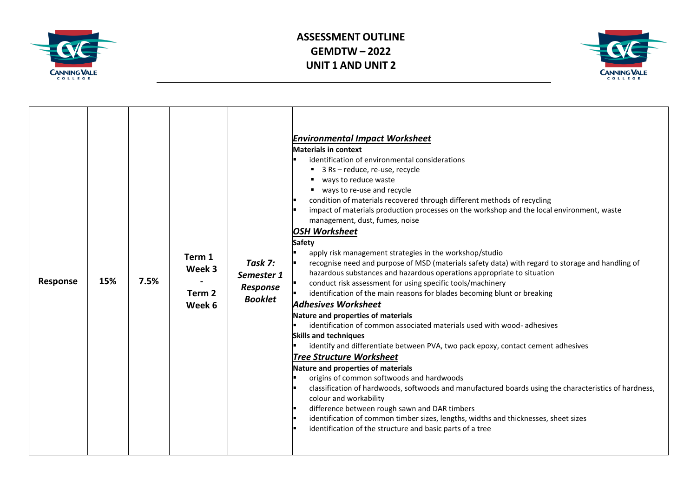



| Response | 15% | 7.5% | Term 1<br>Week 3<br>Term 2<br>Week 6 | Task 7:<br>Semester 1<br><b>Response</b><br><b>Booklet</b> | <b>Environmental Impact Worksheet</b><br><b>Materials in context</b><br>identification of environmental considerations<br>■ 3 Rs - reduce, re-use, recycle<br>ways to reduce waste<br>ways to re-use and recycle<br>condition of materials recovered through different methods of recycling<br>impact of materials production processes on the workshop and the local environment, waste<br>management, dust, fumes, noise<br><b>OSH Worksheet</b><br><b>Safety</b><br>apply risk management strategies in the workshop/studio<br>recognise need and purpose of MSD (materials safety data) with regard to storage and handling of<br>hazardous substances and hazardous operations appropriate to situation<br>conduct risk assessment for using specific tools/machinery<br>identification of the main reasons for blades becoming blunt or breaking<br><b>Adhesives Worksheet</b><br>Nature and properties of materials<br>identification of common associated materials used with wood-adhesives<br><b>Skills and techniques</b><br>identify and differentiate between PVA, two pack epoxy, contact cement adhesives<br><b>Tree Structure Worksheet</b><br>Nature and properties of materials<br>origins of common softwoods and hardwoods<br>classification of hardwoods, softwoods and manufactured boards using the characteristics of hardness,<br>colour and workability<br>difference between rough sawn and DAR timbers<br>identification of common timber sizes, lengths, widths and thicknesses, sheet sizes<br>identification of the structure and basic parts of a tree |
|----------|-----|------|--------------------------------------|------------------------------------------------------------|----------------------------------------------------------------------------------------------------------------------------------------------------------------------------------------------------------------------------------------------------------------------------------------------------------------------------------------------------------------------------------------------------------------------------------------------------------------------------------------------------------------------------------------------------------------------------------------------------------------------------------------------------------------------------------------------------------------------------------------------------------------------------------------------------------------------------------------------------------------------------------------------------------------------------------------------------------------------------------------------------------------------------------------------------------------------------------------------------------------------------------------------------------------------------------------------------------------------------------------------------------------------------------------------------------------------------------------------------------------------------------------------------------------------------------------------------------------------------------------------------------------------------------------------------------------------------------------|
|----------|-----|------|--------------------------------------|------------------------------------------------------------|----------------------------------------------------------------------------------------------------------------------------------------------------------------------------------------------------------------------------------------------------------------------------------------------------------------------------------------------------------------------------------------------------------------------------------------------------------------------------------------------------------------------------------------------------------------------------------------------------------------------------------------------------------------------------------------------------------------------------------------------------------------------------------------------------------------------------------------------------------------------------------------------------------------------------------------------------------------------------------------------------------------------------------------------------------------------------------------------------------------------------------------------------------------------------------------------------------------------------------------------------------------------------------------------------------------------------------------------------------------------------------------------------------------------------------------------------------------------------------------------------------------------------------------------------------------------------------------|